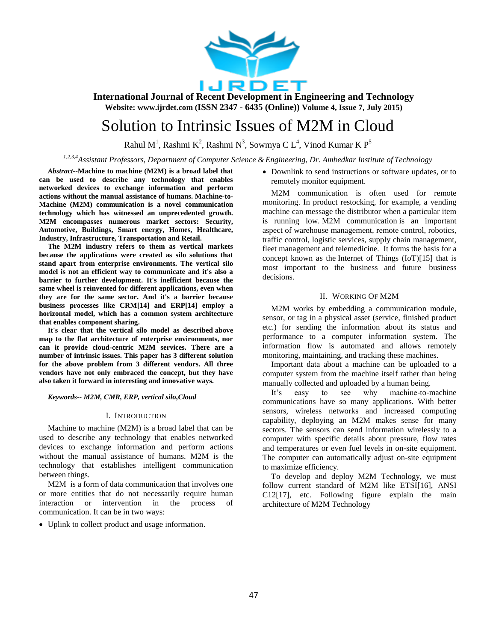

# Solution to Intrinsic Issues of M2M in Cloud

Rahul M<sup>1</sup>, Rashmi K<sup>2</sup>, Rashmi N<sup>3</sup>, Sowmya C L<sup>4</sup>, Vinod Kumar K P<sup>5</sup>

*1,2,3,4Assistant Professors, Department of Computer Science &Engineering, Dr. Ambedkar Institute of Technology*

*Abstract--***Machine to machine (M2M) is a broad label that can be used to describe any technology that enables networked devices to exchange information and perform actions without the manual assistance of humans. Machine-to-Machine (M2M) communication is a novel communication technology which has witnessed an unprecedented growth. M2M encompasses numerous market sectors: Security, Automotive, Buildings, Smart energy, Homes, Healthcare, Industry, Infrastructure, Transportation and Retail.** 

**The M2M industry refers to them as vertical markets because the applications were created as silo solutions that stand apart from enterprise environments. The vertical silo model is not an efficient way to communicate and it's also a barrier to further development. It's inefficient because the same wheel is reinvented for different applications, even when they are for the same sector. And it's a barrier because business processes like CRM[14] and ERP[14] employ a horizontal model, which has a common system architecture that enables component sharing.**

**It's clear that the vertical silo model as described above map to the flat architecture of enterprise environments, nor can it provide cloud-centric M2M services. There are a number of intrinsic issues. This paper has 3 different solution for the above problem from 3 different vendors. All three vendors have not only embraced the concept, but they have also taken it forward in interesting and innovative ways.**

*Keywords-- M2M, CMR, ERP, vertical silo,Cloud*

#### I. INTRODUCTION

Machine to machine (M2M) is a broad label that can be used to describe any technology that enables networked devices to exchange information and perform actions without the manual assistance of humans. M2M is the technology that establishes intelligent communication between things.

M2M is a form of data communication that involves one or more entities that do not necessarily require human interaction or intervention in the process of communication. It can be in two ways:

Uplink to collect product and usage information.

• Downlink to send instructions or software updates, or to remotely monitor equipment.

M2M communication is often used for remote monitoring. In product restocking, for example, a vending machine can message the distributor when a particular item is running low. [M2M communication](http://searchmanufacturingerp.techtarget.com/essentialguide/An-essential-guide-to-M2M-technology-for-manufacturers) is an important aspect of warehouse management, remote control, robotics, traffic control, logistic services, supply chain management, fleet management and telemedicine. It forms the basis for a concept known as the [Internet of Things \(IoT\)\[](http://whatis.techtarget.com/definition/Internet-of-Things)15] that is most important to the business and future business decisions.

#### II. WORKING OF M2M

M2M works by embedding a communication module, sensor, or tag in a physical asset (service, finished product etc.) for sending the information about its status and performance to a computer information system. The information flow is automated and allows remotely monitoring, maintaining, and tracking these machines.

Important data about a machine can be uploaded to a computer system from the machine itself rather than being manually collected and uploaded by a human being.

It's easy to see why machine-to-machine communications have so many applications. With better sensors, wireless networks and increased computing capability, deploying an M2M makes sense for many sectors. The sensors can send information wirelessly to a computer with specific details about pressure, flow rates and temperatures or even fuel levels in on-site equipment. The computer can automatically adjust on-site equipment to maximize efficiency.

To develop and deploy M2M Technology, we must follow current standard of M2M like ETSI[16], ANSI C12[17], etc. Following figure explain the main architecture of M2M Technology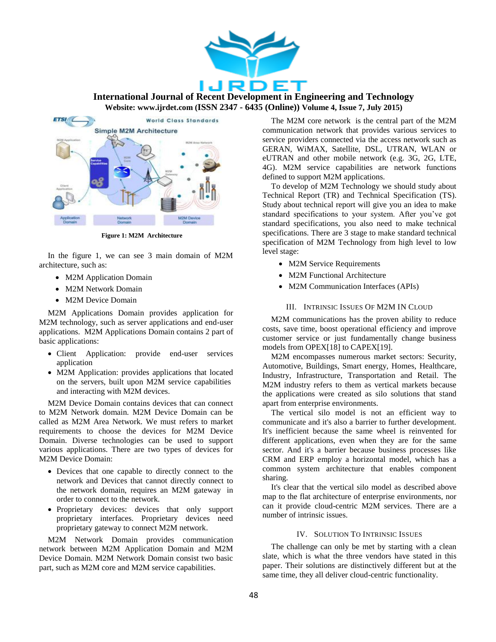



**Figure 1: M2M Architecture**

In the figure 1, we can see 3 main domain of M2M architecture, such as:

- M2M Application Domain
- M2M Network Domain
- M2M Device Domain

M2M Applications Domain provides application for M2M technology, such as server applications and end-user applications. M2M Applications Domain contains 2 part of basic applications:

- Client Application: provide end-user services application
- M2M Application: provides applications that located on the servers, built upon M2M service capabilities and interacting with M2M devices.

M2M Device Domain contains devices that can connect to M2M Network domain. M2M Device Domain can be called as M2M Area Network. We must refers to market requirements to choose the devices for M2M Device Domain. Diverse technologies can be used to support various applications. There are two types of devices for M2M Device Domain:

- Devices that one capable to directly connect to the network and Devices that cannot directly connect to the network domain, requires an M2M gateway in order to connect to the network.
- Proprietary devices: devices that only support proprietary interfaces. Proprietary devices need proprietary gateway to connect M2M network.

M2M Network Domain provides communication network between M2M Application Domain and M2M Device Domain. M2M Network Domain consist two basic part, such as M2M core and M2M service capabilities.

The M2M core network is the central part of the M2M communication network that provides various services to service providers connected via the access network such as GERAN, WiMAX, Satellite, DSL, UTRAN, WLAN or eUTRAN and other mobile network (e.g. 3G, 2G, LTE, 4G). M2M service capabilities are network functions defined to support M2M applications.

To develop of M2M Technology we should study about Technical Report (TR) and Technical Specification (TS). Study about technical report will give you an idea to make standard specifications to your system. After you've got standard specifications, you also need to make technical specifications. There are 3 stage to make standard technical specification of M2M Technology from high level to low level stage:

- M2M Service Requirements
- M2M Functional Architecture
- M2M Communication Interfaces (APIs)
	- III. INTRINSIC ISSUES OF M2M IN CLOUD

M2M communications has the proven ability to reduce costs, save time, boost operational efficiency and improve customer service or just fundamentally change business models from OPEX[18] to CAPEX[19].

M2M encompasses numerous market sectors: Security, Automotive, Buildings, Smart energy, Homes, Healthcare, Industry, Infrastructure, Transportation and Retail. The M2M industry refers to them as vertical markets because the applications were created as silo solutions that stand apart from enterprise environments.

The vertical silo model is not an efficient way to communicate and it's also a barrier to further development. It's inefficient because the same wheel is reinvented for different applications, even when they are for the same sector. And it's a barrier because business processes like CRM and ERP employ a horizontal model, which has a common system architecture that enables component sharing.

It's clear that the vertical silo model as described above map to the flat architecture of enterprise environments, nor can it provide cloud-centric M2M services. There are a number of intrinsic issues.

### IV. SOLUTION TO INTRINSIC ISSUES

The challenge can only be met by starting with a clean slate, which is what the three vendors have stated in this paper. Their solutions are distinctively different but at the same time, they all deliver cloud-centric functionality.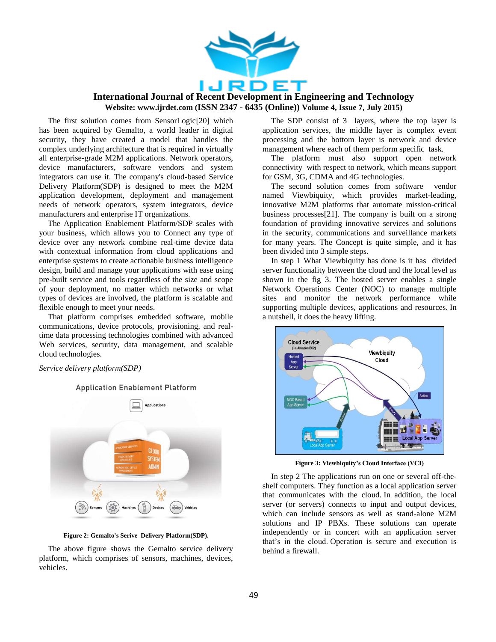

The first solution comes from SensorLogic[20] which has been acquired by Gemalto, a world leader in digital security, they have created a model that handles the complex underlying architecture that is required in virtually all enterprise-grade M2M applications. Network operators, device manufacturers, software vendors and system integrators can use it. The company's cloud-based Service Delivery Platform(SDP) is designed to meet the M2M application development, deployment and management needs of network operators, system integrators, device manufacturers and enterprise IT organizations.

The Application Enablement Platform/SDP scales with your business, which allows you to Connect any type of device over any network combine real-time device data with contextual information from cloud applications and enterprise systems to create actionable business intelligence design, build and manage your applications with ease using pre-built service and tools regardless of the size and scope of your deployment, no matter which networks or what types of devices are involved, the platform is scalable and flexible enough to meet your needs.

That platform comprises embedded software, mobile communications, device protocols, provisioning, and realtime data processing technologies combined with advanced Web services, security, data management, and scalable cloud technologies.

*Service delivery platform(SDP)*

**Application Enablement Platform** 



**Figure 2: Gemalto's Serive Delivery Platform(SDP).**

The above figure shows the Gemalto service delivery platform, which comprises of sensors, machines, devices, vehicles.

The SDP consist of 3 layers, where the top layer is application services, the middle layer is complex event processing and the bottom layer is network and device management where each of them perform specific task.

The platform must also support open network connectivity with respect to network, which means support for GSM, 3G, CDMA and 4G technologies.

The second solution comes from software vendor named Viewbiquity, which provides market-leading, innovative M2M platforms that automate mission-critical business processes[21]. The company is built on a strong foundation of providing innovative services and solutions in the security, communications and surveillance markets for many years. The Concept is quite simple, and it has been divided into 3 simple steps.

In step 1 What Viewbiquity has done is it has divided server functionality between the cloud and the local level as shown in the fig 3. The hosted server enables a single Network Operations Center (NOC) to manage multiple sites and monitor the network performance while supporting multiple devices, applications and resources. In a nutshell, it does the heavy lifting.



**Figure 3: Viewbiquity's Cloud Interface (VCI)**

In step 2 The applications run on one or several off-theshelf computers. They function as a local application server that communicates with the cloud. In addition, the local server (or servers) connects to input and output devices, which can include sensors as well as stand-alone M2M solutions and IP PBXs. These solutions can operate independently or in concert with an application server that's in the cloud. Operation is secure and execution is behind a firewall.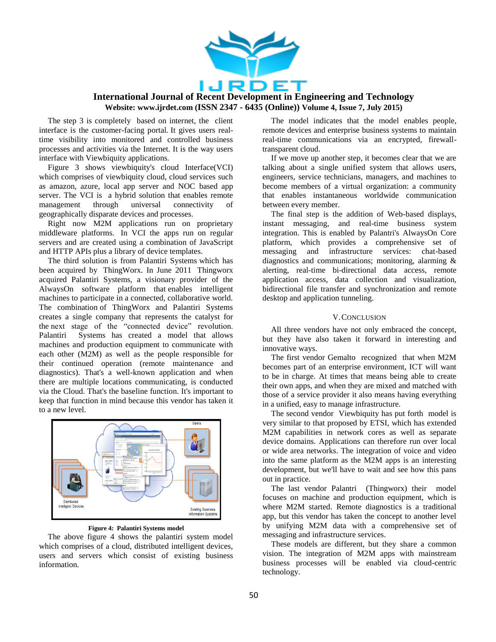

The step 3 is completely based on internet, the client interface is the customer-facing portal. It gives users realtime visibility into monitored and controlled business processes and activities via the Internet. It is the way users interface with Viewbiquity applications.

Figure 3 shows viewbiquity's cloud Interface(VCI) which comprises of viewbiquity cloud, cloud services such as amazon, azure, local app server and NOC based app server. The VCI is a hybrid solution that enables remote management through universal connectivity of geographically disparate devices and processes.

Right now M2M applications run on proprietary middleware platforms. In VCI the apps run on regular servers and are created using a combination of JavaScript and HTTP APIs plus a library of device templates.

The third solution is from Palantiri Systems which has been acquired by ThingWorx. In June 2011 Thingworx acquired Palantiri Systems, a visionary provider of the AlwaysOn software platform that enables intelligent machines to participate in a connected, collaborative world. The combination of ThingWorx and Palantiri Systems creates a single company that represents the catalyst for the next stage of the "connected device" revolution. Palantiri Systems has created a model that allows machines and production equipment to communicate with each other (M2M) as well as the people responsible for their continued operation (remote maintenance and diagnostics). That's a well-known application and when there are multiple locations communicating, is conducted via the Cloud. That's the baseline function. It's important to keep that function in mind because this vendor has taken it to a new level.



#### **Figure 4: Palantiri Systems model**

The above figure 4 shows the palantiri system model which comprises of a cloud, distributed intelligent devices, users and servers which consist of existing business information.

The model indicates that the model enables people, remote devices and enterprise business systems to maintain real-time communications via an encrypted, firewalltransparent cloud.

If we move up another step, it becomes clear that we are talking about a single unified system that allows users, engineers, service technicians, managers, and machines to become members of a virtual organization: a community that enables instantaneous worldwide communication between every member.

The final step is the addition of Web-based displays, instant messaging, and real-time business system integration. This is enabled by Palantri's AlwaysOn Core platform, which provides a comprehensive set of messaging and infrastructure services: chat-based diagnostics and communications; monitoring, alarming & alerting, real-time bi-directional data access, remote application access, data collection and visualization, bidirectional file transfer and synchronization and remote desktop and application tunneling.

### V.CONCLUSION

All three vendors have not only embraced the concept, but they have also taken it forward in interesting and innovative ways.

The first vendor Gemalto recognized that when M2M becomes part of an enterprise environment, ICT will want to be in charge. At times that means being able to create their own apps, and when they are mixed and matched with those of a service provider it also means having everything in a unified, easy to manage infrastructure.

The second vendor Viewbiquity has put forth model is very similar to that proposed by ETSI, which has extended M2M capabilities in network cores as well as separate device domains. Applications can therefore run over local or wide area networks. The integration of voice and video into the same platform as the M2M apps is an interesting development, but we'll have to wait and see how this pans out in practice.

The last vendor Palantri (Thingworx) their model focuses on machine and production equipment, which is where M2M started. Remote diagnostics is a traditional app, but this vendor has taken the concept to another level by unifying M2M data with a comprehensive set of messaging and infrastructure services.

These models are different, but they share a common vision. The integration of M2M apps with mainstream business processes will be enabled via cloud-centric technology.